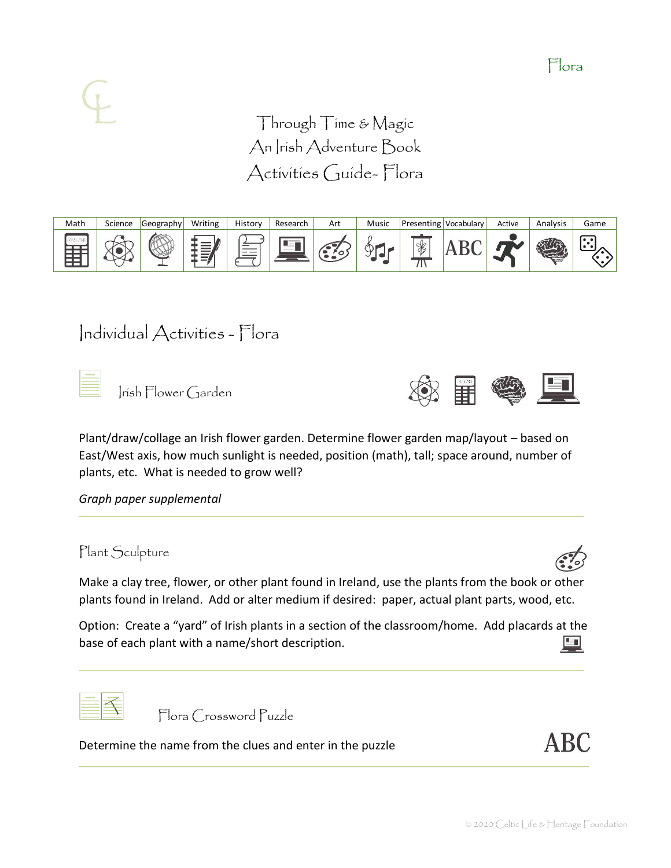Through Time & Magic An Irish Adventure Book Activities Guide- Flora



# Individual Activities - Flora

Irish Flower Garden



Plant/draw/collage an Irish flower garden. Determine flower garden map/layout – based on East/West axis, how much sunlight is needed, position (math), tall; space around, number of plants, etc. What is needed to grow well?

*Graph paper supplemental*

Plant Sculpture

Make a clay tree, flower, or other plant found in Ireland, use the plants from the book or other plants found in Ireland. Add or alter medium if desired: paper, actual plant parts, wood, etc.

Option: Create a "yard" of Irish plants in a section of the classroom/home. Add placards at the Ļ base of each plant with a name/short description.



Flora Crossword Puzzle

Determine the name from the clues and enter in the puzzle

**ABC**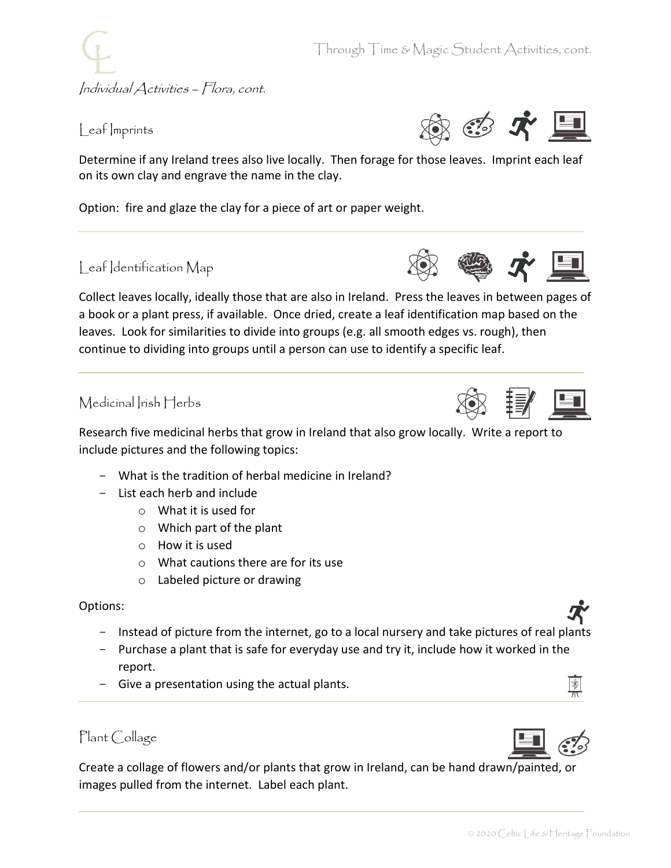Individual Activities – Flora, cont.

## Leaf Imprints



Determine if any Ireland trees also live locally. Then forage for those leaves. Imprint each leaf on its own clay and engrave the name in the clay.

Option: fire and glaze the clay for a piece of art or paper weight.

## Leaf Identification Map



## Medicinal Irish Herbs



- What is the tradition of herbal medicine in Ireland?
- List each herb and include
	- o What it is used for
	- o Which part of the plant
	- o How it is used
	- o What cautions there are for its use
	- o Labeled picture or drawing

#### Options:

- Instead of picture from the internet, go to a local nursery and take pictures of real plants
- Purchase a plant that is safe for everyday use and try it, include how it worked in the report.
- Give a presentation using the actual plants.

## Plant Collage

Create a collage of flowers and/or plants that grow in Ireland, can be hand drawn/painted, or images pulled from the internet. Label each plant.





 $\frac{1}{2}$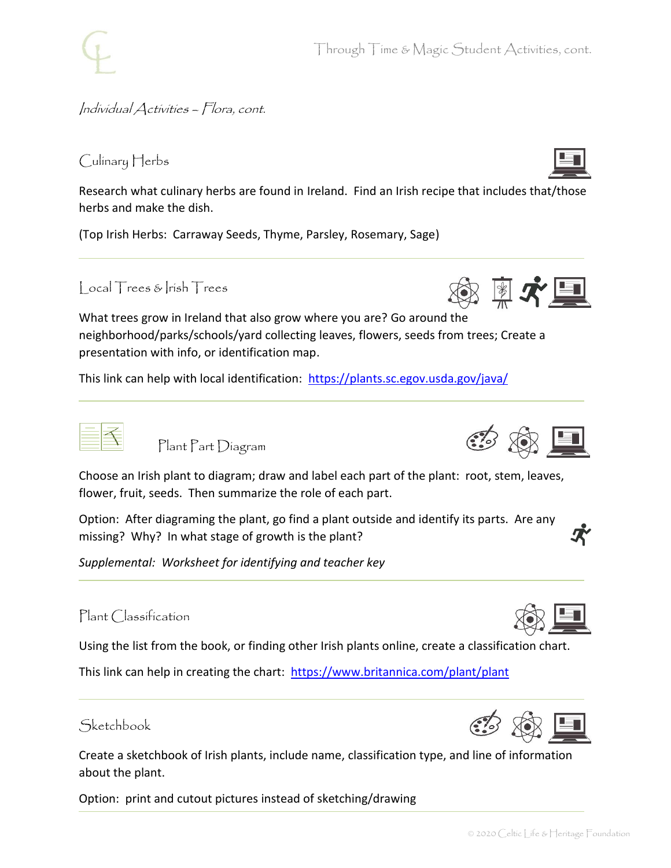

Through Time & Magic Student Activities, cont.

## Individual Activities – Flora, cont.

## Culinary Herbs

Research what culinary herbs are found in Ireland. Find an Irish recipe that includes that/those herbs and make the dish.

(Top Irish Herbs: Carraway Seeds, Thyme, Parsley, Rosemary, Sage)

## Local Trees & Irish Trees

What trees grow in Ireland that also grow where you are? Go around the neighborhood/parks/schools/yard collecting leaves, flowers, seeds from trees; Create a presentation with info, or identification map.

This link can help with local identification: <https://plants.sc.egov.usda.gov/java/>

Plant Part Diagram

Choose an Irish plant to diagram; draw and label each part of the plant: root, stem, leaves, flower, fruit, seeds. Then summarize the role of each part.

Option: After diagraming the plant, go find a plant outside and identify its parts. Are any missing? Why? In what stage of growth is the plant?

*Supplemental: Worksheet for identifying and teacher key*

### Plant Classification

Using the list from the book, or finding other Irish plants online, create a classification chart.

This link can help in creating the chart: <https://www.britannica.com/plant/plant>



Create a sketchbook of Irish plants, include name, classification type, and line of information about the plant.

Option: print and cutout pictures instead of sketching/drawing





 $*$   $\mathcal{K}$   $\blacksquare$ 



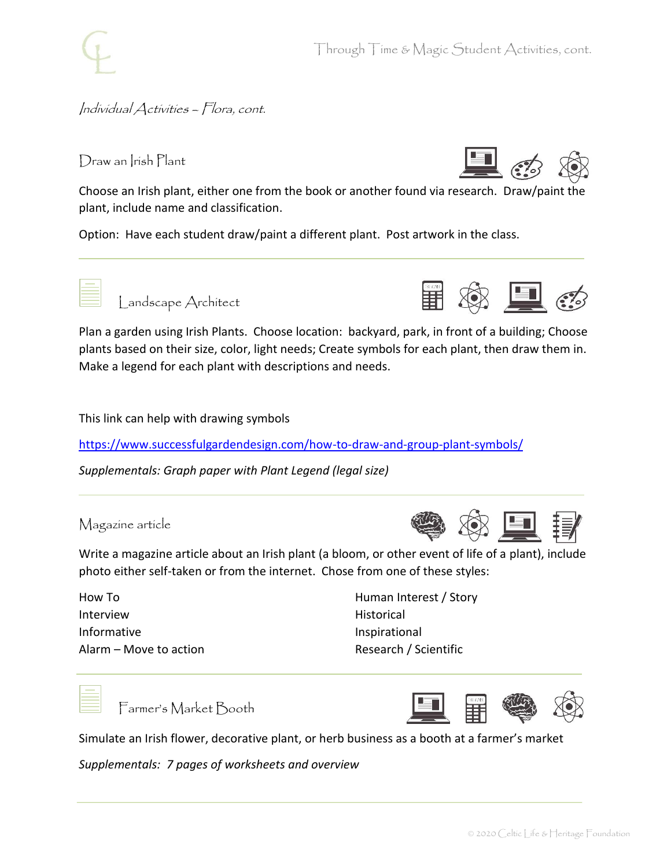

Individual Activities – Flora, cont.

Draw an Irish Plant



Choose an Irish plant, either one from the book or another found via research. Draw/paint the plant, include name and classification.

Option: Have each student draw/paint a different plant. Post artwork in the class.



Landscape Architect



Plan a garden using Irish Plants. Choose location: backyard, park, in front of a building; Choose plants based on their size, color, light needs; Create symbols for each plant, then draw them in. Make a legend for each plant with descriptions and needs.

This link can help with drawing symbols

<https://www.successfulgardendesign.com/how-to-draw-and-group-plant-symbols/>

*Supplementals: Graph paper with Plant Legend (legal size)*

## Magazine article



Write a magazine article about an Irish plant (a bloom, or other event of life of a plant), include photo either self-taken or from the internet. Chose from one of these styles:

How To Interview Informative Alarm – Move to action Human Interest / Story Historical Inspirational Research / Scientific



Farmer's Market Booth



Simulate an Irish flower, decorative plant, or herb business as a booth at a farmer's market

*Supplementals: 7 pages of worksheets and overview*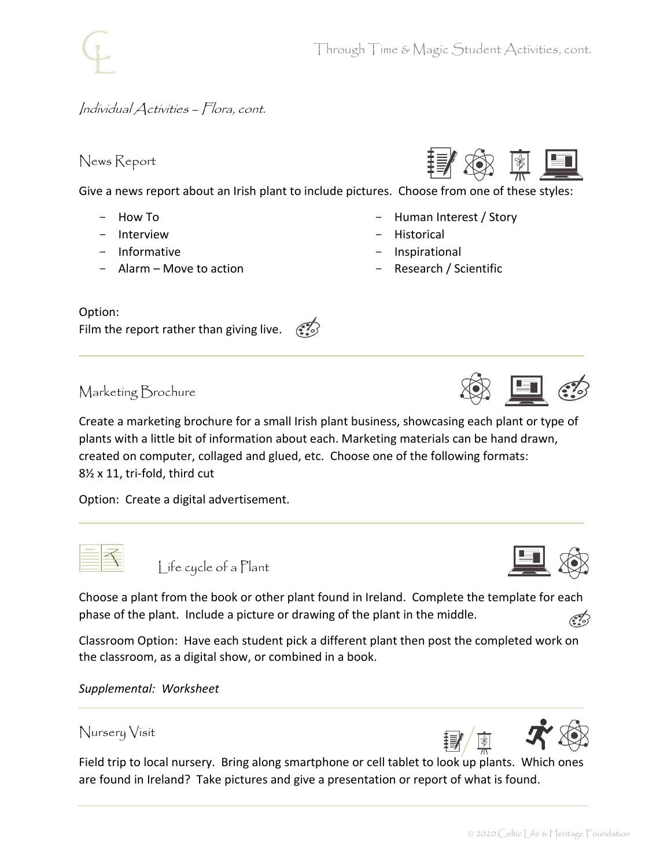Human Interest / Story

Research / Scientific

**Historical** - Inspirational

## Individual Activities – Flora, cont.

## News Report

Give a news report about an Irish plant to include pictures. Choose from one of these styles:

- How To
- Interview
- Informative
- Alarm Move to action

#### Option:

Film the report rather than giving live.  $\mathcal{F}$ 

Marketing Brochure

Create a marketing brochure for a small Irish plant business, showcasing each plant or type of plants with a little bit of information about each. Marketing materials can be hand drawn, created on computer, collaged and glued, etc. Choose one of the following formats: 8½ x 11, tri-fold, third cut

Option: Create a digital advertisement.



Life cycle of a Plant

Choose a plant from the book or other plant found in Ireland. Complete the template for each phase of the plant. Include a picture or drawing of the plant in the middle.

Classroom Option: Have each student pick a different plant then post the completed work on the classroom, as a digital show, or combined in a book.

*Supplemental: Worksheet*

### Nursery Visit

Field trip to local nursery. Bring along smartphone or cell tablet to look up plants. Which ones are found in Ireland? Take pictures and give a presentation or report of what is found.















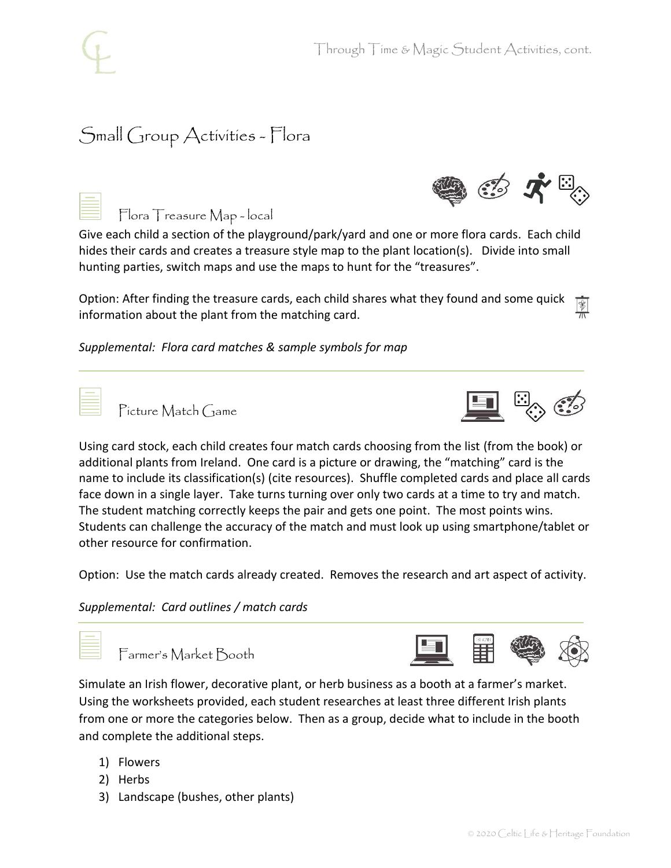# Small Group Activities - Flora

|  | Flora Treasure Map - local |  |
|--|----------------------------|--|
|  |                            |  |

Give each child a section of the playground/park/yard and one or more flora cards. Each child hides their cards and creates a treasure style map to the plant location(s). Divide into small hunting parties, switch maps and use the maps to hunt for the "treasures".

Option: After finding the treasure cards, each child shares what they found and some quick  $\sqrt{\frac{1}{2}}$ information about the plant from the matching card.

*Supplemental: Flora card matches & sample symbols for map*

Picture Match Game



 $\mathbb{Z}$   $\mathcal{R}$   $\mathbb{Z}$ 

Using card stock, each child creates four match cards choosing from the list (from the book) or additional plants from Ireland. One card is a picture or drawing, the "matching" card is the name to include its classification(s) (cite resources). Shuffle completed cards and place all cards face down in a single layer. Take turns turning over only two cards at a time to try and match. The student matching correctly keeps the pair and gets one point. The most points wins. Students can challenge the accuracy of the match and must look up using smartphone/tablet or other resource for confirmation.

Option: Use the match cards already created. Removes the research and art aspect of activity.

*Supplemental: Card outlines / match cards*

| Farmer's Market Booth | 二目等 8 |  |  |  |
|-----------------------|-------|--|--|--|
|-----------------------|-------|--|--|--|

Simulate an Irish flower, decorative plant, or herb business as a booth at a farmer's market. Using the worksheets provided, each student researches at least three different Irish plants from one or more the categories below. Then as a group, decide what to include in the booth and complete the additional steps.

- 1) Flowers
- 2) Herbs
- 3) Landscape (bushes, other plants)